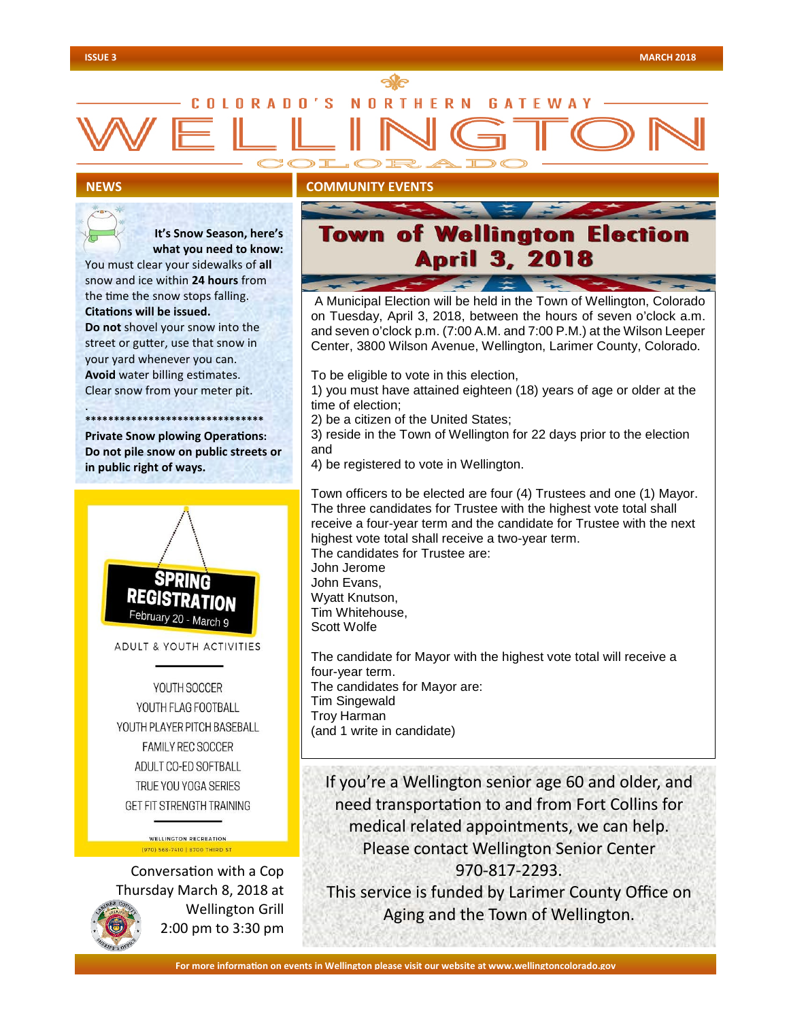# C N I N R A N N R N **GATFWA**

## **NEWS**

.



### **Wellington Election** of **April 3, 2018**

A Municipal Election will be held in the Town of Wellington, Colorado on Tuesday, April 3, 2018, between the hours of seven o'clock a.m. and seven o'clock p.m. (7:00 A.M. and 7:00 P.M.) at the Wilson Leeper Center, 3800 Wilson Avenue, Wellington, Larimer County, Colorado.

To be eligible to vote in this election,

1) you must have attained eighteen (18) years of age or older at the time of election;

2) be a citizen of the United States;

3) reside in the Town of Wellington for 22 days prior to the election and

4) be registered to vote in Wellington.

Town officers to be elected are four (4) Trustees and one (1) Mayor. The three candidates for Trustee with the highest vote total shall receive a four-year term and the candidate for Trustee with the next highest vote total shall receive a two-year term. The candidates for Trustee are: John Jerome John Evans, Wyatt Knutson, Tim Whitehouse, Scott Wolfe

The candidate for Mayor with the highest vote total will receive a four-year term. The candidates for Mayor are: Tim Singewald Troy Harman (and 1 write in candidate)

If you're a Wellington senior age 60 and older, and need transportation to and from Fort Collins for medical related appointments, we can help. Please contact Wellington Senior Center 970-817-2293.

This service is funded by Larimer County Office on Aging and the Town of Wellington.

**ADULT & YOUTH ACTIVITIES** YOUTH SOCCER YOUTH FLAG FOOTBALL

 **It's Snow Season, here's what you need to know:**

You must clear your sidewalks of **all** snow and ice within **24 hours** from the time the snow stops falling. **Citations will be issued.** 

**Do not** shovel your snow into the street or gutter, use that snow in your yard whenever you can. **Avoid** water billing estimates. Clear snow from your meter pit.

**\*\*\*\*\*\*\*\*\*\*\*\*\*\*\*\*\*\*\*\*\*\*\*\*\*\*\*\*\*\*\* Private Snow plowing Operations: Do not pile snow on public streets or** 

**in public right of ways.** 

YOUTH PLAYER PITCH BASEBALL **FAMILY REC SOCCER** ADULT CO-ED SOFTBALL TRUE YOU YOGA SERIES GET FIT STRENGTH TRAINING

> **WELLINGTON RECREATION** (970) 568-7410 | 8700 THIRD ST

Conversation with a Cop Thursday March 8, 2018 at Wellington Grill 2:00 pm to 3:30 pm